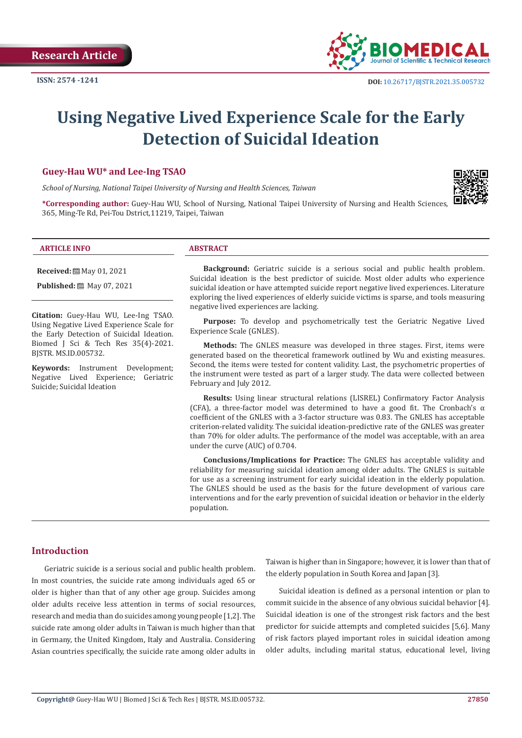

# **Using Negative Lived Experience Scale for the Early Detection of Suicidal Ideation**

#### **Guey-Hau WU\* and Lee-Ing TSAO**

*School of Nursing, National Taipei University of Nursing and Health Sciences, Taiwan*



**\*Corresponding author:** Guey-Hau WU, School of Nursing, National Taipei University of Nursing and Health Sciences, 365, Ming-Te Rd, Pei-Tou Dstrict,11219, Taipei, Taiwan

#### **ARTICLE INFO ABSTRACT**

**Received:** [201, 2021]

**Published:** ■ May 07, 2021

**Citation:** Guey-Hau WU, Lee-Ing TSAO. Using Negative Lived Experience Scale for the Early Detection of Suicidal Ideation. Biomed J Sci & Tech Res 35(4)-2021. BJSTR. MS.ID.005732.

**Keywords:** Instrument Development; Negative Lived Experience; Geriatric Suicide; Suicidal Ideation

**Background:** Geriatric suicide is a serious social and public health problem. Suicidal ideation is the best predictor of suicide. Most older adults who experience suicidal ideation or have attempted suicide report negative lived experiences. Literature exploring the lived experiences of elderly suicide victims is sparse, and tools measuring negative lived experiences are lacking.

**Purpose:** To develop and psychometrically test the Geriatric Negative Lived Experience Scale (GNLES).

**Methods:** The GNLES measure was developed in three stages. First, items were generated based on the theoretical framework outlined by Wu and existing measures. Second, the items were tested for content validity. Last, the psychometric properties of the instrument were tested as part of a larger study. The data were collected between February and July 2012.

**Results:** Using linear structural relations (LISREL) Confirmatory Factor Analysis (CFA), a three-factor model was determined to have a good fit. The Cronbach's  $\alpha$ coefficient of the GNLES with a 3-factor structure was 0.83. The GNLES has acceptable criterion-related validity. The suicidal ideation-predictive rate of the GNLES was greater than 70% for older adults. The performance of the model was acceptable, with an area under the curve (AUC) of 0.704.

**Conclusions/Implications for Practice:** The GNLES has acceptable validity and reliability for measuring suicidal ideation among older adults. The GNLES is suitable for use as a screening instrument for early suicidal ideation in the elderly population. The GNLES should be used as the basis for the future development of various care interventions and for the early prevention of suicidal ideation or behavior in the elderly population.

# **Introduction**

Geriatric suicide is a serious social and public health problem. In most countries, the suicide rate among individuals aged 65 or older is higher than that of any other age group. Suicides among older adults receive less attention in terms of social resources, research and media than do suicides among young people [1,2]. The suicide rate among older adults in Taiwan is much higher than that in Germany, the United Kingdom, Italy and Australia. Considering Asian countries specifically, the suicide rate among older adults in

Taiwan is higher than in Singapore; however, it is lower than that of the elderly population in South Korea and Japan [3].

Suicidal ideation is defined as a personal intention or plan to commit suicide in the absence of any obvious suicidal behavior [4]. Suicidal ideation is one of the strongest risk factors and the best predictor for suicide attempts and completed suicides [5,6]. Many of risk factors played important roles in suicidal ideation among older adults, including marital status, educational level, living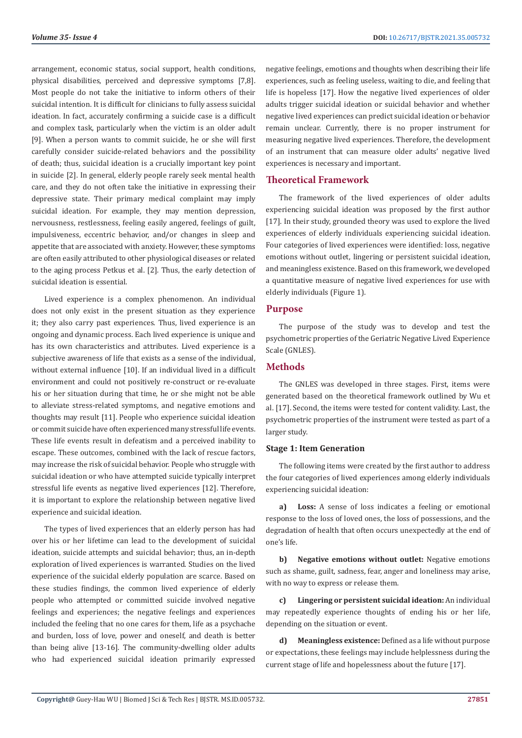arrangement, economic status, social support, health conditions, physical disabilities, perceived and depressive symptoms [7,8]. Most people do not take the initiative to inform others of their suicidal intention. It is difficult for clinicians to fully assess suicidal ideation. In fact, accurately confirming a suicide case is a difficult and complex task, particularly when the victim is an older adult [9]. When a person wants to commit suicide, he or she will first carefully consider suicide-related behaviors and the possibility of death; thus, suicidal ideation is a crucially important key point in suicide [2]. In general, elderly people rarely seek mental health care, and they do not often take the initiative in expressing their depressive state. Their primary medical complaint may imply suicidal ideation. For example, they may mention depression, nervousness, restlessness, feeling easily angered, feelings of guilt, impulsiveness, eccentric behavior, and/or changes in sleep and appetite that are associated with anxiety. However, these symptoms are often easily attributed to other physiological diseases or related to the aging process Petkus et al. [2]. Thus, the early detection of suicidal ideation is essential.

Lived experience is a complex phenomenon. An individual does not only exist in the present situation as they experience it; they also carry past experiences. Thus, lived experience is an ongoing and dynamic process. Each lived experience is unique and has its own characteristics and attributes. Lived experience is a subjective awareness of life that exists as a sense of the individual, without external influence [10]. If an individual lived in a difficult environment and could not positively re-construct or re-evaluate his or her situation during that time, he or she might not be able to alleviate stress-related symptoms, and negative emotions and thoughts may result [11]. People who experience suicidal ideation or commit suicide have often experienced many stressful life events. These life events result in defeatism and a perceived inability to escape. These outcomes, combined with the lack of rescue factors, may increase the risk of suicidal behavior. People who struggle with suicidal ideation or who have attempted suicide typically interpret stressful life events as negative lived experiences [12]. Therefore, it is important to explore the relationship between negative lived experience and suicidal ideation.

The types of lived experiences that an elderly person has had over his or her lifetime can lead to the development of suicidal ideation, suicide attempts and suicidal behavior; thus, an in-depth exploration of lived experiences is warranted. Studies on the lived experience of the suicidal elderly population are scarce. Based on these studies findings, the common lived experience of elderly people who attempted or committed suicide involved negative feelings and experiences; the negative feelings and experiences included the feeling that no one cares for them, life as a psychache and burden, loss of love, power and oneself, and death is better than being alive [13-16]. The community-dwelling older adults who had experienced suicidal ideation primarily expressed

negative feelings, emotions and thoughts when describing their life experiences, such as feeling useless, waiting to die, and feeling that life is hopeless [17]. How the negative lived experiences of older adults trigger suicidal ideation or suicidal behavior and whether negative lived experiences can predict suicidal ideation or behavior remain unclear. Currently, there is no proper instrument for measuring negative lived experiences. Therefore, the development of an instrument that can measure older adults' negative lived experiences is necessary and important.

#### **Theoretical Framework**

The framework of the lived experiences of older adults experiencing suicidal ideation was proposed by the first author [17]. In their study, grounded theory was used to explore the lived experiences of elderly individuals experiencing suicidal ideation. Four categories of lived experiences were identified: loss, negative emotions without outlet, lingering or persistent suicidal ideation, and meaningless existence. Based on this framework, we developed a quantitative measure of negative lived experiences for use with elderly individuals (Figure 1).

#### **Purpose**

The purpose of the study was to develop and test the psychometric properties of the Geriatric Negative Lived Experience Scale (GNLES).

#### **Methods**

The GNLES was developed in three stages. First, items were generated based on the theoretical framework outlined by Wu et al. [17]. Second, the items were tested for content validity. Last, the psychometric properties of the instrument were tested as part of a larger study.

#### **Stage 1: Item Generation**

The following items were created by the first author to address the four categories of lived experiences among elderly individuals experiencing suicidal ideation:

**a) Loss:** A sense of loss indicates a feeling or emotional response to the loss of loved ones, the loss of possessions, and the degradation of health that often occurs unexpectedly at the end of one's life.

**b) Negative emotions without outlet:** Negative emotions such as shame, guilt, sadness, fear, anger and loneliness may arise, with no way to express or release them.

**c) Lingering or persistent suicidal ideation:** An individual may repeatedly experience thoughts of ending his or her life, depending on the situation or event.

**d) Meaningless existence:** Defined as a life without purpose or expectations, these feelings may include helplessness during the current stage of life and hopelessness about the future [17].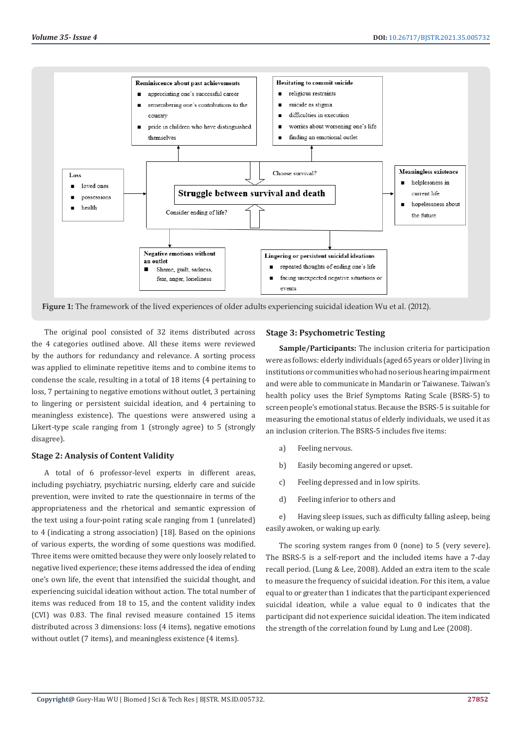

**Figure 1:** The framework of the lived experiences of older adults experiencing suicidal ideation Wu et al. (2012).

The original pool consisted of 32 items distributed across the 4 categories outlined above. All these items were reviewed by the authors for redundancy and relevance. A sorting process was applied to eliminate repetitive items and to combine items to condense the scale, resulting in a total of 18 items (4 pertaining to loss, 7 pertaining to negative emotions without outlet, 3 pertaining to lingering or persistent suicidal ideation, and 4 pertaining to meaningless existence). The questions were answered using a Likert-type scale ranging from 1 (strongly agree) to 5 (strongly disagree).

#### **Stage 2: Analysis of Content Validity**

A total of 6 professor-level experts in different areas, including psychiatry, psychiatric nursing, elderly care and suicide prevention, were invited to rate the questionnaire in terms of the appropriateness and the rhetorical and semantic expression of the text using a four-point rating scale ranging from 1 (unrelated) to 4 (indicating a strong association) [18]. Based on the opinions of various experts, the wording of some questions was modified. Three items were omitted because they were only loosely related to negative lived experience; these items addressed the idea of ending one's own life, the event that intensified the suicidal thought, and experiencing suicidal ideation without action. The total number of items was reduced from 18 to 15, and the content validity index (CVI) was 0.83. The final revised measure contained 15 items distributed across 3 dimensions: loss (4 items), negative emotions without outlet (7 items), and meaningless existence (4 items).

#### **Stage 3: Psychometric Testing**

**Sample/Participants:** The inclusion criteria for participation were as follows: elderly individuals (aged 65 years or older) living in institutions or communities who had no serious hearing impairment and were able to communicate in Mandarin or Taiwanese. Taiwan's health policy uses the Brief Symptoms Rating Scale (BSRS-5) to screen people's emotional status. Because the BSRS-5 is suitable for measuring the emotional status of elderly individuals, we used it as an inclusion criterion. The BSRS-5 includes five items:

- a) Feeling nervous.
- b) Easily becoming angered or upset.
- c) Feeling depressed and in low spirits.
- d) Feeling inferior to others and

e) Having sleep issues, such as difficulty falling asleep, being easily awoken, or waking up early.

The scoring system ranges from 0 (none) to 5 (very severe). The BSRS-5 is a self-report and the included items have a 7-day recall period. (Lung & Lee, 2008). Added an extra item to the scale to measure the frequency of suicidal ideation. For this item, a value equal to or greater than 1 indicates that the participant experienced suicidal ideation, while a value equal to 0 indicates that the participant did not experience suicidal ideation. The item indicated the strength of the correlation found by Lung and Lee (2008).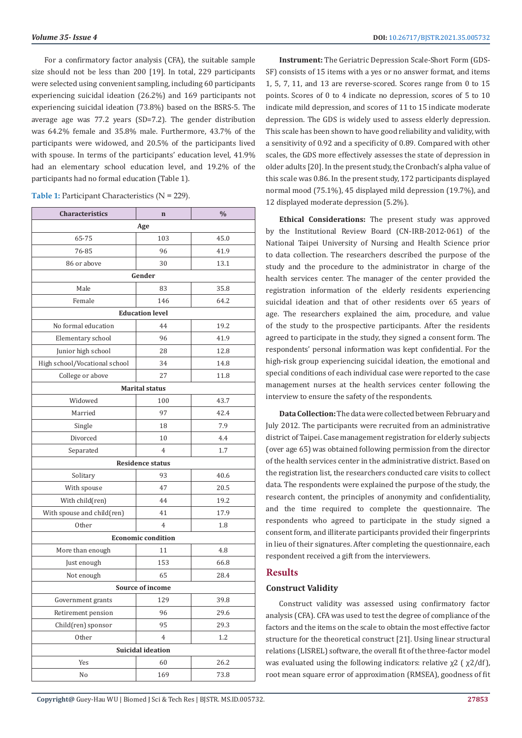For a confirmatory factor analysis (CFA), the suitable sample size should not be less than 200 [19]. In total, 229 participants were selected using convenient sampling, including 60 participants experiencing suicidal ideation (26.2%) and 169 participants not experiencing suicidal ideation (73.8%) based on the BSRS-5. The average age was 77.2 years (SD=7.2). The gender distribution was 64.2% female and 35.8% male. Furthermore, 43.7% of the participants were widowed, and 20.5% of the participants lived with spouse. In terms of the participants' education level, 41.9% had an elementary school education level, and 19.2% of the participants had no formal education (Table 1).

| <b>Table 1:</b> Participant Characteristics ( $N = 229$ ). |  |  |
|------------------------------------------------------------|--|--|
|                                                            |  |  |

| Characteristics               | $\mathbf n$               | $\frac{0}{0}$ |  |  |  |  |
|-------------------------------|---------------------------|---------------|--|--|--|--|
|                               | Age                       |               |  |  |  |  |
| 65-75                         | 103                       | 45.0          |  |  |  |  |
| 76-85                         | 96                        | 41.9          |  |  |  |  |
| 86 or above                   | 30                        | 13.1          |  |  |  |  |
|                               | Gender                    |               |  |  |  |  |
| Male                          | 83                        | 35.8          |  |  |  |  |
| Female                        | 146                       | 64.2          |  |  |  |  |
|                               | <b>Education level</b>    |               |  |  |  |  |
| No formal education           | 44                        | 19.2          |  |  |  |  |
| Elementary school             | 96                        | 41.9          |  |  |  |  |
| Junior high school            | 28                        | 12.8          |  |  |  |  |
| High school/Vocational school | 34                        | 14.8          |  |  |  |  |
| College or above              | 27                        | 11.8          |  |  |  |  |
|                               | <b>Marital status</b>     |               |  |  |  |  |
| Widowed                       | 100                       | 43.7          |  |  |  |  |
| Married                       | 97                        | 42.4          |  |  |  |  |
| Single                        | 18                        | 7.9           |  |  |  |  |
| Divorced                      | 10                        | 4.4           |  |  |  |  |
| Separated                     | $\overline{4}$            | 1.7           |  |  |  |  |
|                               | <b>Residence status</b>   |               |  |  |  |  |
| Solitary                      | 93                        | 40.6          |  |  |  |  |
| With spouse                   | 47                        | 20.5          |  |  |  |  |
| With child(ren)               | 44                        | 19.2          |  |  |  |  |
| With spouse and child(ren)    | 41                        | 17.9          |  |  |  |  |
| Other                         | $\overline{4}$            | 1.8           |  |  |  |  |
|                               | <b>Economic condition</b> |               |  |  |  |  |
| More than enough              | 11                        | 4.8           |  |  |  |  |
| Just enough                   | 153                       | 66.8          |  |  |  |  |
| Not enough                    | 65                        | 28.4          |  |  |  |  |
|                               | Source of income          |               |  |  |  |  |
| Government grants             | 129                       | 39.8          |  |  |  |  |
| Retirement pension            | 96                        | 29.6          |  |  |  |  |
| Child(ren) sponsor            | 95                        | 29.3          |  |  |  |  |
| Other                         | 4                         | 1.2           |  |  |  |  |
| Suicidal ideation             |                           |               |  |  |  |  |
| Yes                           | 60                        | 26.2          |  |  |  |  |
| No                            | 169                       | 73.8          |  |  |  |  |

**Instrument:** The Geriatric Depression Scale-Short Form (GDS-SF) consists of 15 items with a yes or no answer format, and items 1, 5, 7, 11, and 13 are reverse-scored. Scores range from 0 to 15 points. Scores of 0 to 4 indicate no depression, scores of 5 to 10 indicate mild depression, and scores of 11 to 15 indicate moderate depression. The GDS is widely used to assess elderly depression. This scale has been shown to have good reliability and validity, with a sensitivity of 0.92 and a specificity of 0.89. Compared with other scales, the GDS more effectively assesses the state of depression in older adults [20]. In the present study, the Cronbach's alpha value of this scale was 0.86. In the present study, 172 participants displayed normal mood (75.1%), 45 displayed mild depression (19.7%), and 12 displayed moderate depression (5.2%).

**Ethical Considerations:** The present study was approved by the Institutional Review Board (CN-IRB-2012-061) of the National Taipei University of Nursing and Health Science prior to data collection. The researchers described the purpose of the study and the procedure to the administrator in charge of the health services center. The manager of the center provided the registration information of the elderly residents experiencing suicidal ideation and that of other residents over 65 years of age. The researchers explained the aim, procedure, and value of the study to the prospective participants. After the residents agreed to participate in the study, they signed a consent form. The respondents' personal information was kept confidential. For the high-risk group experiencing suicidal ideation, the emotional and special conditions of each individual case were reported to the case management nurses at the health services center following the interview to ensure the safety of the respondents.

**Data Collection:** The data were collected between February and July 2012. The participants were recruited from an administrative district of Taipei. Case management registration for elderly subjects (over age 65) was obtained following permission from the director of the health services center in the administrative district. Based on the registration list, the researchers conducted care visits to collect data. The respondents were explained the purpose of the study, the research content, the principles of anonymity and confidentiality, and the time required to complete the questionnaire. The respondents who agreed to participate in the study signed a consent form, and illiterate participants provided their fingerprints in lieu of their signatures. After completing the questionnaire, each respondent received a gift from the interviewers.

#### **Results**

#### **Construct Validity**

Construct validity was assessed using confirmatory factor analysis (CFA). CFA was used to test the degree of compliance of the factors and the items on the scale to obtain the most effective factor structure for the theoretical construct [21]. Using linear structural relations (LISREL) software, the overall fit of the three-factor model was evaluated using the following indicators: relative  $χ2$  ( $χ2/df$ ), root mean square error of approximation (RMSEA), goodness of fit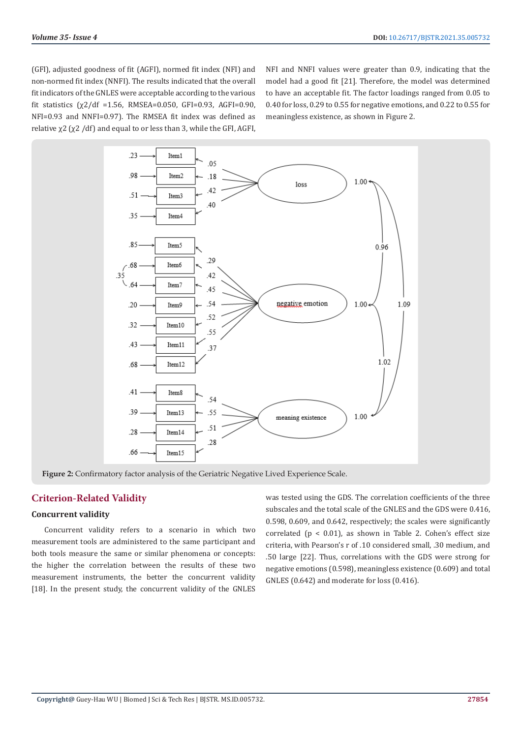(GFI), adjusted goodness of fit (AGFI), normed fit index (NFI) and non-normed fit index (NNFI). The results indicated that the overall fit indicators of the GNLES were acceptable according to the various fit statistics  $(\chi^2/df = 1.56, RMSEA = 0.050, GFI = 0.93, AGFI = 0.90,$ NFI=0.93 and NNFI=0.97). The RMSEA fit index was defined as relative χ2 (χ2 /df) and equal to or less than 3, while the GFI, AGFI,

NFI and NNFI values were greater than 0.9, indicating that the model had a good fit [21]. Therefore, the model was determined to have an acceptable fit. The factor loadings ranged from 0.05 to 0.40 for loss, 0.29 to 0.55 for negative emotions, and 0.22 to 0.55 for meaningless existence, as shown in Figure 2.



**Figure 2:** Confirmatory factor analysis of the Geriatric Negative Lived Experience Scale.

# **Criterion-Related Validity**

### **Concurrent validity**

Concurrent validity refers to a scenario in which two measurement tools are administered to the same participant and both tools measure the same or similar phenomena or concepts: the higher the correlation between the results of these two measurement instruments, the better the concurrent validity [18]. In the present study, the concurrent validity of the GNLES was tested using the GDS. The correlation coefficients of the three subscales and the total scale of the GNLES and the GDS were 0.416, 0.598, 0.609, and 0.642, respectively; the scales were significantly correlated ( $p < 0.01$ ), as shown in Table 2. Cohen's effect size criteria, with Pearson's r of .10 considered small, .30 medium, and .50 large [22]. Thus, correlations with the GDS were strong for negative emotions (0.598), meaningless existence (0.609) and total GNLES (0.642) and moderate for loss (0.416).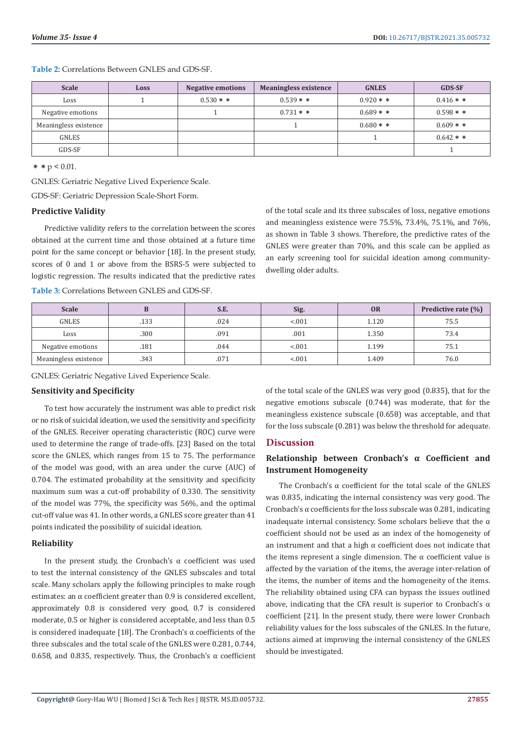**Table 2:** Correlations Between GNLES and GDS-SF.

| <b>Scale</b>          | Loss | <b>Negative emotions</b> | <b>Meaningless existence</b> | <b>GNLES</b> | <b>GDS-SF</b> |
|-----------------------|------|--------------------------|------------------------------|--------------|---------------|
| Loss                  |      | $0.530**$                | $0.539**$                    | $0.920 * *$  | $0.416**$     |
| Negative emotions     |      |                          | $0.731**$                    | $0.689**$    | $0.598**$     |
| Meaningless existence |      |                          |                              | $0.680**$    | $0.609$ * *   |
| <b>GNLES</b>          |      |                          |                              |              | $0.642**$     |
| GDS-SF                |      |                          |                              |              |               |

\* \* p < 0.01.

GNLES: Geriatric Negative Lived Experience Scale.

GDS-SF: Geriatric Depression Scale-Short Form.

#### **Predictive Validity**

Predictive validity refers to the correlation between the scores obtained at the current time and those obtained at a future time point for the same concept or behavior [18]. In the present study, scores of 0 and 1 or above from the BSRS-5 were subjected to logistic regression. The results indicated that the predictive rates

of the total scale and its three subscales of loss, negative emotions and meaningless existence were 75.5%, 73.4%, 75.1%, and 76%, as shown in Table 3 shows. Therefore, the predictive rates of the GNLES were greater than 70%, and this scale can be applied as an early screening tool for suicidal ideation among communitydwelling older adults.

| <b>Scale</b>          |      | S.E. | Sig.   | <b>OR</b> | Predictive rate (%) |
|-----------------------|------|------|--------|-----------|---------------------|
| <b>GNLES</b>          | .133 | .024 | < 0.01 | 1.120     | 75.5                |
| Loss                  | .300 | .091 | .001   | 1.350     | 73.4                |
| Negative emotions     | .181 | .044 | < 0.01 | 1.199     | 75.1                |
| Meaningless existence | .343 | .071 | < 0.01 | 1.409     | 76.0                |

**Table 3:** Correlations Between GNLES and GDS-SF.

GNLES: Geriatric Negative Lived Experience Scale.

#### **Sensitivity and Specificity**

To test how accurately the instrument was able to predict risk or no risk of suicidal ideation, we used the sensitivity and specificity of the GNLES. Receiver operating characteristic (ROC) curve were used to determine the range of trade-offs. [23] Based on the total score the GNLES, which ranges from 15 to 75. The performance of the model was good, with an area under the curve (AUC) of 0.704. The estimated probability at the sensitivity and specificity maximum sum was a cut-off probability of 0.330. The sensitivity of the model was 77%, the specificity was 56%, and the optimal cut-off value was 41. In other words, a GNLES score greater than 41 points indicated the possibility of suicidal ideation.

#### **Reliability**

In the present study, the Cronbach's  $\alpha$  coefficient was used to test the internal consistency of the GNLES subscales and total scale. Many scholars apply the following principles to make rough estimates: an α coefficient greater than 0.9 is considered excellent, approximately 0.8 is considered very good, 0.7 is considered moderate, 0.5 or higher is considered acceptable, and less than 0.5 is considered inadequate [18]. The Cronbach's α coefficients of the three subscales and the total scale of the GNLES were 0.281, 0.744, 0.658, and 0.835, respectively. Thus, the Cronbach's  $\alpha$  coefficient of the total scale of the GNLES was very good (0.835), that for the negative emotions subscale (0.744) was moderate, that for the meaningless existence subscale (0.658) was acceptable, and that for the loss subscale (0.281) was below the threshold for adequate.

## **Discussion**

# **Relationship between Cronbach's α Coefficient and Instrument Homogeneity**

The Cronbach's  $\alpha$  coefficient for the total scale of the GNLES was 0.835, indicating the internal consistency was very good. The Cronbach's  $\alpha$  coefficients for the loss subscale was 0.281, indicating inadequate internal consistency. Some scholars believe that the  $\alpha$ coefficient should not be used as an index of the homogeneity of an instrument and that a high  $\alpha$  coefficient does not indicate that the items represent a single dimension. The α coefficient value is affected by the variation of the items, the average inter-relation of the items, the number of items and the homogeneity of the items. The reliability obtained using CFA can bypass the issues outlined above, indicating that the CFA result is superior to Cronbach's  $\alpha$ coefficient [21]. In the present study, there were lower Cronbach reliability values for the loss subscales of the GNLES. In the future, actions aimed at improving the internal consistency of the GNLES should be investigated.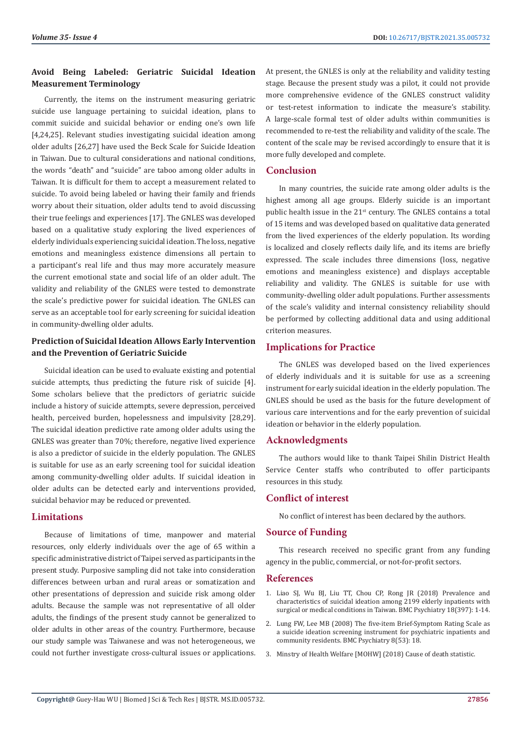# **Avoid Being Labeled: Geriatric Suicidal Ideation Measurement Terminology**

Currently, the items on the instrument measuring geriatric suicide use language pertaining to suicidal ideation, plans to commit suicide and suicidal behavior or ending one's own life [4,24,25]. Relevant studies investigating suicidal ideation among older adults [26,27] have used the Beck Scale for Suicide Ideation in Taiwan. Due to cultural considerations and national conditions, the words "death" and "suicide" are taboo among older adults in Taiwan. It is difficult for them to accept a measurement related to suicide. To avoid being labeled or having their family and friends worry about their situation, older adults tend to avoid discussing their true feelings and experiences [17]. The GNLES was developed based on a qualitative study exploring the lived experiences of elderly individuals experiencing suicidal ideation. The loss, negative emotions and meaningless existence dimensions all pertain to a participant's real life and thus may more accurately measure the current emotional state and social life of an older adult. The validity and reliability of the GNLES were tested to demonstrate the scale's predictive power for suicidal ideation. The GNLES can serve as an acceptable tool for early screening for suicidal ideation in community-dwelling older adults.

# **Prediction of Suicidal Ideation Allows Early Intervention and the Prevention of Geriatric Suicide**

Suicidal ideation can be used to evaluate existing and potential suicide attempts, thus predicting the future risk of suicide [4]. Some scholars believe that the predictors of geriatric suicide include a history of suicide attempts, severe depression, perceived health, perceived burden, hopelessness and impulsivity [28,29]. The suicidal ideation predictive rate among older adults using the GNLES was greater than 70%; therefore, negative lived experience is also a predictor of suicide in the elderly population. The GNLES is suitable for use as an early screening tool for suicidal ideation among community-dwelling older adults. If suicidal ideation in older adults can be detected early and interventions provided, suicidal behavior may be reduced or prevented.

# **Limitations**

Because of limitations of time, manpower and material resources, only elderly individuals over the age of 65 within a specific administrative district of Taipei served as participants in the present study. Purposive sampling did not take into consideration differences between urban and rural areas or somatization and other presentations of depression and suicide risk among older adults. Because the sample was not representative of all older adults, the findings of the present study cannot be generalized to older adults in other areas of the country. Furthermore, because our study sample was Taiwanese and was not heterogeneous, we could not further investigate cross-cultural issues or applications. At present, the GNLES is only at the reliability and validity testing stage. Because the present study was a pilot, it could not provide more comprehensive evidence of the GNLES construct validity or test-retest information to indicate the measure's stability. A large-scale formal test of older adults within communities is recommended to re-test the reliability and validity of the scale. The content of the scale may be revised accordingly to ensure that it is more fully developed and complete.

### **Conclusion**

In many countries, the suicide rate among older adults is the highest among all age groups. Elderly suicide is an important public health issue in the 21<sup>st</sup> century. The GNLES contains a total of 15 items and was developed based on qualitative data generated from the lived experiences of the elderly population. Its wording is localized and closely reflects daily life, and its items are briefly expressed. The scale includes three dimensions (loss, negative emotions and meaningless existence) and displays acceptable reliability and validity. The GNLES is suitable for use with community-dwelling older adult populations. Further assessments of the scale's validity and internal consistency reliability should be performed by collecting additional data and using additional criterion measures.

# **Implications for Practice**

The GNLES was developed based on the lived experiences of elderly individuals and it is suitable for use as a screening instrument for early suicidal ideation in the elderly population. The GNLES should be used as the basis for the future development of various care interventions and for the early prevention of suicidal ideation or behavior in the elderly population.

# **Acknowledgments**

The authors would like to thank Taipei Shilin District Health Service Center staffs who contributed to offer participants resources in this study.

# **Conflict of interest**

No conflict of interest has been declared by the authors.

#### **Source of Funding**

This research received no specific grant from any funding agency in the public, commercial, or not-for-profit sectors.

#### **References**

- 1. [Liao SJ, Wu BJ, Liu TT, Chou CP, Rong JR \(2018\) Prevalence and](https://bmcpsychiatry.biomedcentral.com/articles/10.1186/s12888-018-1981-7) [characteristics of suicidal ideation among 2199 elderly inpatients with](https://bmcpsychiatry.biomedcentral.com/articles/10.1186/s12888-018-1981-7) [surgical or medical conditions in Taiwan. BMC Psychiatry 18\(397\): 1-14.](https://bmcpsychiatry.biomedcentral.com/articles/10.1186/s12888-018-1981-7)
- 2. Lung FW, Lee MB (2008) The five-item Brief-Symptom Rating Scale as a suicide ideation screening instrument for psychiatric inpatients and community residents. BMC Psychiatry 8(53): 18.
- 3. [Minstry of Health Welfare \[MOHW\] \(2018\) Cause of death statistic.](https://dep.mohw.gov.tw/DOS/lp-4472-113.html)